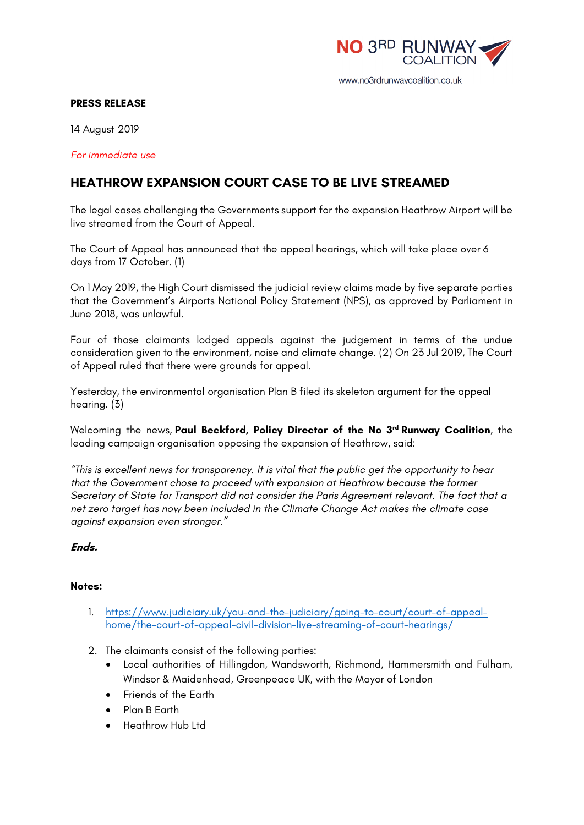

## **PRESS RELEASE**

14 August 2019

*For immediate use*

## **HEATHROW EXPANSION COURT CASE TO BE LIVE STREAMED**

The legal cases challenging the Governments support for the expansion Heathrow Airport will be live streamed from the Court of Appeal.

The Court of Appeal has announced that the appeal hearings, which will take place over 6 days from 17 October. (1)

On 1 May 2019, the High Court dismissed the judicial review claims made by five separate parties that the Government's Airports National Policy Statement (NPS), as approved by Parliament in June 2018, was unlawful.

Four of those claimants lodged appeals against the judgement in terms of the undue consideration given to the environment, noise and climate change. (2) On 23 Jul 2019, The Court of Appeal ruled that there were grounds for appeal.

Yesterday, the environmental organisation Plan B filed its skeleton argument for the appeal hearing. (3)

Welcoming the news, **Paul Beckford, Policy Director of the No 3rd Runway Coalition**, the leading campaign organisation opposing the expansion of Heathrow, said:

*"This is excellent news for transparency. It is vital that the public get the opportunity to hear that the Government chose to proceed with expansion at Heathrow because the former Secretary of State for Transport did not consider the Paris Agreement relevant. The fact that a net zero target has now been included in the Climate Change Act makes the climate case against expansion even stronger."*

**Ends.**

## **Notes:**

- 1. https://www.judiciary.uk/you-and-the-judiciary/going-to-court/court-of-appealhome/the-court-of-appeal-civil-division-live-streaming-of-court-hearings/
- 2. The claimants consist of the following parties:
	- Local authorities of Hillingdon, Wandsworth, Richmond, Hammersmith and Fulham, Windsor & Maidenhead, Greenpeace UK, with the Mayor of London
	- Friends of the Earth
	- Plan B Earth
	- Heathrow Hub Ltd